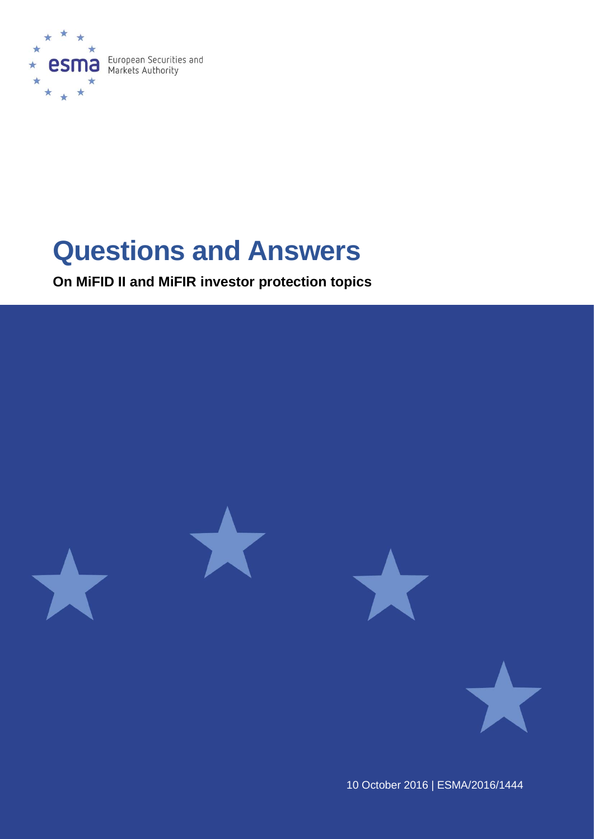

# **Questions and Answers**

**On MiFID II and MiFIR investor protection topics**



10 October 2016 | ESMA/2016/1444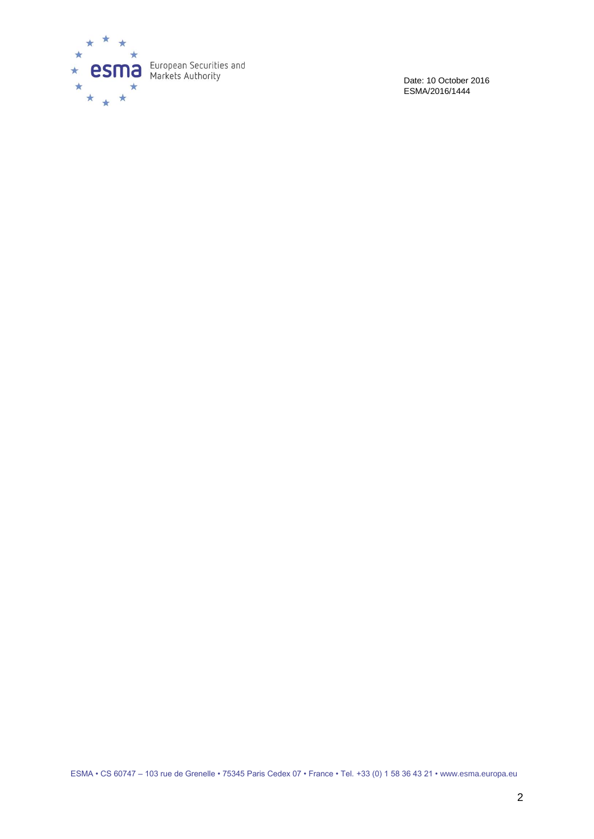

Date: 10 October 2016 ESMA/2016/1444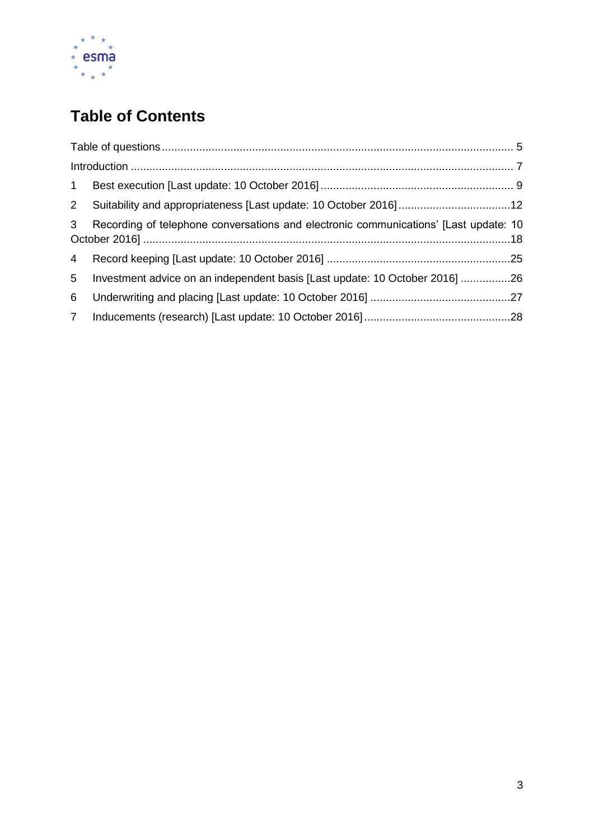

# **Table of Contents**

| 1              |                                                                                      |  |  |  |  |  |
|----------------|--------------------------------------------------------------------------------------|--|--|--|--|--|
|                | 2 Suitability and appropriateness [Last update: 10 October 2016] 12                  |  |  |  |  |  |
| 3 <sup>7</sup> | Recording of telephone conversations and electronic communications' [Last update: 10 |  |  |  |  |  |
|                |                                                                                      |  |  |  |  |  |
| 5 <sub>5</sub> | Investment advice on an independent basis [Last update: 10 October 2016] 26          |  |  |  |  |  |
| 6              |                                                                                      |  |  |  |  |  |
| 7 <sup>7</sup> |                                                                                      |  |  |  |  |  |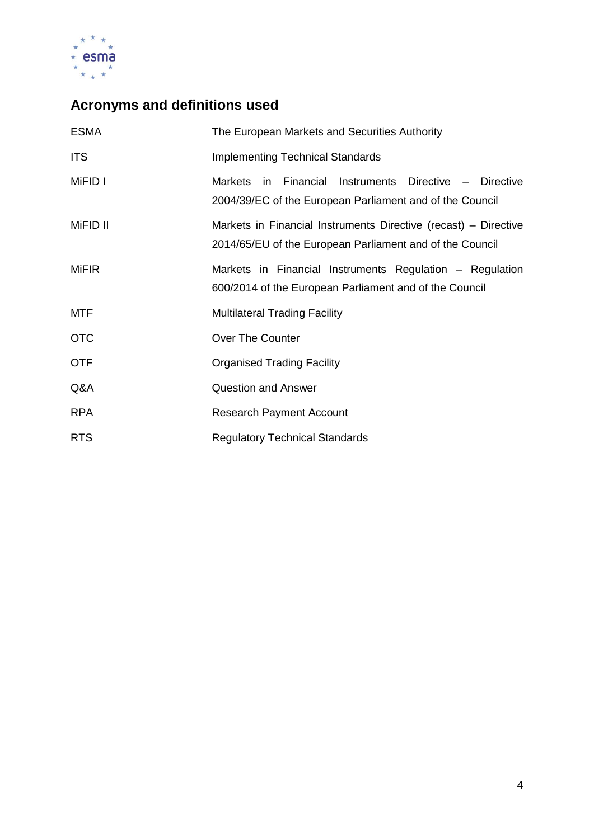

# **Acronyms and definitions used**

| <b>ESMA</b>  | The European Markets and Securities Authority                                                                               |  |  |  |
|--------------|-----------------------------------------------------------------------------------------------------------------------------|--|--|--|
| <b>ITS</b>   | <b>Implementing Technical Standards</b>                                                                                     |  |  |  |
| MiFID I      | Markets in Financial Instruments Directive - Directive<br>2004/39/EC of the European Parliament and of the Council          |  |  |  |
| MiFID II     | Markets in Financial Instruments Directive (recast) – Directive<br>2014/65/EU of the European Parliament and of the Council |  |  |  |
| <b>MiFIR</b> | Markets in Financial Instruments Regulation - Regulation<br>600/2014 of the European Parliament and of the Council          |  |  |  |
| <b>MTF</b>   | <b>Multilateral Trading Facility</b>                                                                                        |  |  |  |
| <b>OTC</b>   | Over The Counter                                                                                                            |  |  |  |
| <b>OTF</b>   | <b>Organised Trading Facility</b>                                                                                           |  |  |  |
| Q&A          | <b>Question and Answer</b>                                                                                                  |  |  |  |
| <b>RPA</b>   | <b>Research Payment Account</b>                                                                                             |  |  |  |
| <b>RTS</b>   | <b>Regulatory Technical Standards</b>                                                                                       |  |  |  |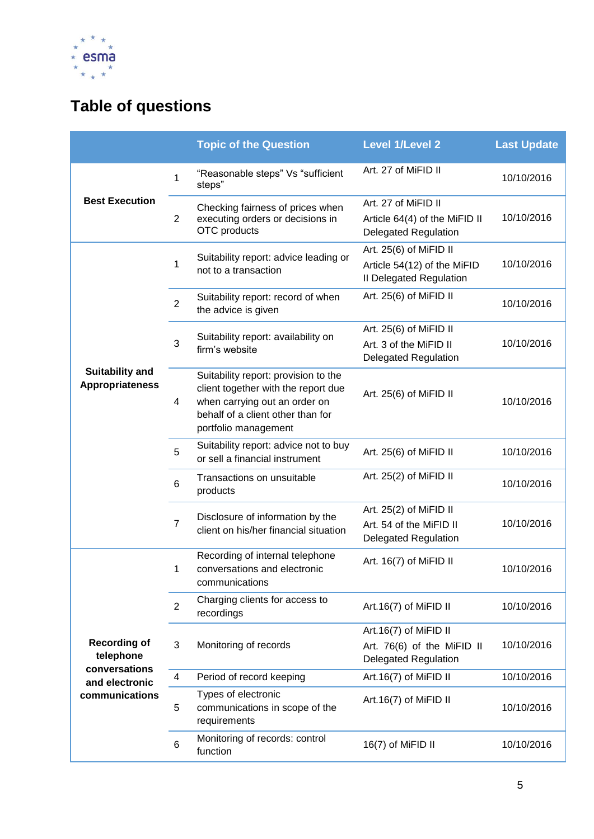

# <span id="page-4-0"></span>**Table of questions**

|                                                   |                         | <b>Topic of the Question</b>                                                                                                                                              | <b>Level 1/Level 2</b>                                                              | <b>Last Update</b> |
|---------------------------------------------------|-------------------------|---------------------------------------------------------------------------------------------------------------------------------------------------------------------------|-------------------------------------------------------------------------------------|--------------------|
|                                                   | 1                       | "Reasonable steps" Vs "sufficient<br>steps"                                                                                                                               | Art. 27 of MiFID II                                                                 | 10/10/2016         |
| <b>Best Execution</b>                             | $\overline{2}$          | Checking fairness of prices when<br>executing orders or decisions in<br>OTC products                                                                                      | Art. 27 of MiFID II<br>Article 64(4) of the MiFID II<br><b>Delegated Regulation</b> | 10/10/2016         |
|                                                   | 1                       | Suitability report: advice leading or<br>not to a transaction                                                                                                             | Art. 25(6) of MiFID II<br>Article 54(12) of the MiFID<br>Il Delegated Regulation    | 10/10/2016         |
|                                                   | $\overline{2}$          | Suitability report: record of when<br>the advice is given                                                                                                                 | Art. 25(6) of MiFID II                                                              | 10/10/2016         |
|                                                   | 3                       | Suitability report: availability on<br>firm's website                                                                                                                     | Art. 25(6) of MiFID II<br>Art. 3 of the MiFID II<br><b>Delegated Regulation</b>     | 10/10/2016         |
| <b>Suitability and</b><br><b>Appropriateness</b>  | 4                       | Suitability report: provision to the<br>client together with the report due<br>when carrying out an order on<br>behalf of a client other than for<br>portfolio management | Art. 25(6) of MiFID II                                                              | 10/10/2016         |
|                                                   | 5                       | Suitability report: advice not to buy<br>or sell a financial instrument                                                                                                   | Art. 25(6) of MiFID II                                                              | 10/10/2016         |
|                                                   | $6\phantom{1}6$         | Transactions on unsuitable<br>products                                                                                                                                    | Art. 25(2) of MiFID II                                                              | 10/10/2016         |
|                                                   | $\overline{7}$          | Disclosure of information by the<br>client on his/her financial situation                                                                                                 | Art. 25(2) of MiFID II<br>Art. 54 of the MiFID II<br><b>Delegated Regulation</b>    | 10/10/2016         |
|                                                   | 1                       | Recording of internal telephone<br>conversations and electronic<br>communications                                                                                         | Art. 16(7) of MiFID II                                                              | 10/10/2016         |
|                                                   | 2                       | Charging clients for access to<br>recordings                                                                                                                              | Art.16(7) of MiFID II                                                               | 10/10/2016         |
| <b>Recording of</b><br>telephone<br>conversations | 3                       | Monitoring of records                                                                                                                                                     | Art.16(7) of MiFID II<br>Art. 76(6) of the MiFID II<br><b>Delegated Regulation</b>  | 10/10/2016         |
| and electronic                                    | $\overline{\mathbf{4}}$ | Period of record keeping                                                                                                                                                  | Art.16(7) of MiFID II                                                               | 10/10/2016         |
| communications                                    | 5                       | Types of electronic<br>communications in scope of the<br>requirements                                                                                                     | Art.16(7) of MiFID II                                                               | 10/10/2016         |
|                                                   | 6                       | Monitoring of records: control<br>function                                                                                                                                | 16(7) of MiFID II                                                                   | 10/10/2016         |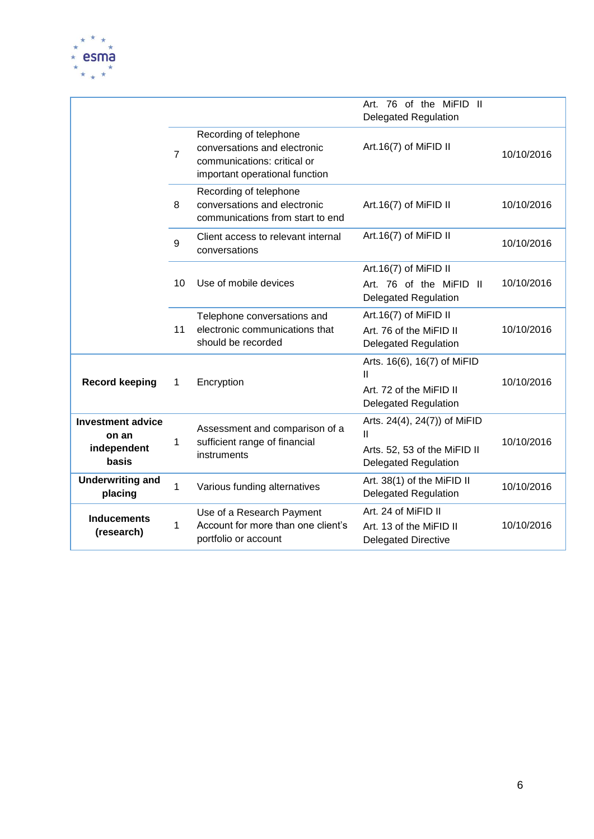

|                                                           |                |                                                                                                                         | Art. 76 of the MiFID II<br><b>Delegated Regulation</b>                                           |            |
|-----------------------------------------------------------|----------------|-------------------------------------------------------------------------------------------------------------------------|--------------------------------------------------------------------------------------------------|------------|
|                                                           | $\overline{7}$ | Recording of telephone<br>conversations and electronic<br>communications: critical or<br>important operational function | Art.16(7) of MiFID II                                                                            | 10/10/2016 |
|                                                           | 8              | Recording of telephone<br>conversations and electronic<br>communications from start to end                              | Art.16(7) of MiFID II                                                                            | 10/10/2016 |
|                                                           | 9              | Client access to relevant internal<br>conversations                                                                     | Art.16(7) of MiFID II                                                                            | 10/10/2016 |
|                                                           |                |                                                                                                                         | Art.16(7) of MiFID II                                                                            |            |
|                                                           | 10             | Use of mobile devices                                                                                                   | Art. 76 of the MiFID II<br><b>Delegated Regulation</b>                                           | 10/10/2016 |
|                                                           | 11             | Telephone conversations and<br>electronic communications that<br>should be recorded                                     | Art.16(7) of MiFID II<br>Art. 76 of the MiFID II<br><b>Delegated Regulation</b>                  | 10/10/2016 |
| <b>Record keeping</b>                                     | 1              | Encryption                                                                                                              | Arts. 16(6), 16(7) of MiFID<br>Ш<br>Art. 72 of the MiFID II<br><b>Delegated Regulation</b>       | 10/10/2016 |
| <b>Investment advice</b><br>on an<br>independent<br>basis | 1              | Assessment and comparison of a<br>sufficient range of financial<br>instruments                                          | Arts. 24(4), 24(7)) of MiFID<br>Ш<br>Arts. 52, 53 of the MiFID II<br><b>Delegated Regulation</b> | 10/10/2016 |
| <b>Underwriting and</b><br>placing                        | $\mathbf{1}$   | Various funding alternatives                                                                                            | Art. 38(1) of the MiFID II<br><b>Delegated Regulation</b>                                        | 10/10/2016 |
| <b>Inducements</b><br>(research)                          | 1              | Use of a Research Payment<br>Account for more than one client's<br>portfolio or account                                 | Art. 24 of MiFID II<br>Art. 13 of the MiFID II<br><b>Delegated Directive</b>                     | 10/10/2016 |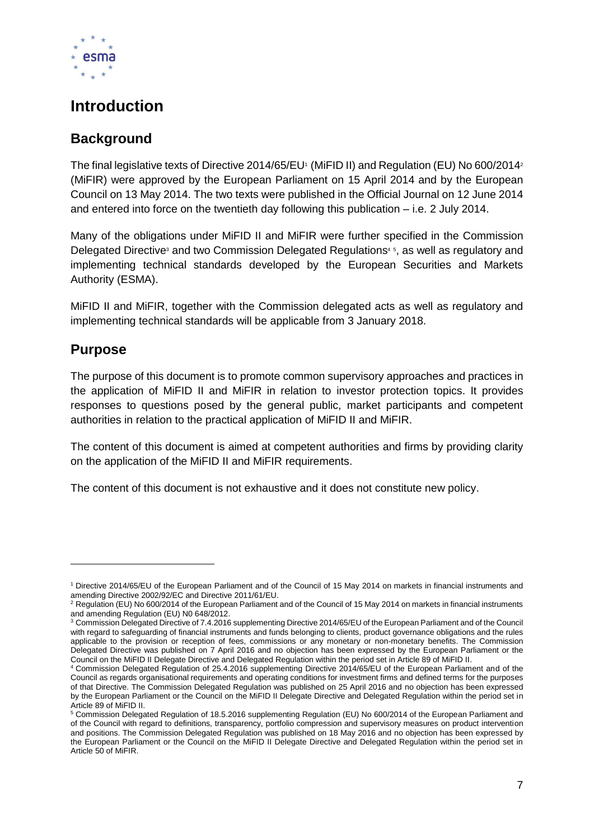

### <span id="page-6-0"></span>**Introduction**

### **Background**

The final legislative texts of Directive 2014/65/EU<sup>1</sup> (MiFID II) and Regulation (EU) No 600/2014<sup>2</sup> (MiFIR) were approved by the European Parliament on 15 April 2014 and by the European Council on 13 May 2014. The two texts were published in the Official Journal on 12 June 2014 and entered into force on the twentieth day following this publication – i.e. 2 July 2014.

Many of the obligations under MiFID II and MiFIR were further specified in the Commission Delegated Directive<sup>3</sup> and two Commission Delegated Regulations<sup>45</sup>, as well as regulatory and implementing technical standards developed by the European Securities and Markets Authority (ESMA).

MiFID II and MiFIR, together with the Commission delegated acts as well as regulatory and implementing technical standards will be applicable from 3 January 2018.

### **Purpose**

1

The purpose of this document is to promote common supervisory approaches and practices in the application of MiFID II and MiFIR in relation to investor protection topics. It provides responses to questions posed by the general public, market participants and competent authorities in relation to the practical application of MiFID II and MiFIR.

The content of this document is aimed at competent authorities and firms by providing clarity on the application of the MiFID II and MiFIR requirements.

The content of this document is not exhaustive and it does not constitute new policy.

<sup>1</sup> Directive 2014/65/EU of the European Parliament and of the Council of 15 May 2014 on markets in financial instruments and amending Directive 2002/92/EC and Directive 2011/61/EU.

<sup>&</sup>lt;sup>2</sup> Regulation (EU) No 600/2014 of the European Parliament and of the Council of 15 May 2014 on markets in financial instruments and amending Regulation (EU) N0 648/2012.

<sup>3</sup> Commission Delegated Directive of 7.4.2016 supplementing Directive 2014/65/EU of the European Parliament and of the Council with regard to safeguarding of financial instruments and funds belonging to clients, product governance obligations and the rules applicable to the provision or reception of fees, commissions or any monetary or non-monetary benefits. The Commission Delegated Directive was published on 7 April 2016 and no objection has been expressed by the European Parliament or the Council on the MiFID II Delegate Directive and Delegated Regulation within the period set in Article 89 of MiFID II.

<sup>4</sup> Commission Delegated Regulation of 25.4.2016 supplementing Directive 2014/65/EU of the European Parliament and of the Council as regards organisational requirements and operating conditions for investment firms and defined terms for the purposes of that Directive. The Commission Delegated Regulation was published on 25 April 2016 and no objection has been expressed by the European Parliament or the Council on the MiFID II Delegate Directive and Delegated Regulation within the period set in Article 89 of MiFID II.

<sup>5</sup> Commission Delegated Regulation of 18.5.2016 supplementing Regulation (EU) No 600/2014 of the European Parliament and of the Council with regard to definitions, transparency, portfolio compression and supervisory measures on product intervention and positions. The Commission Delegated Regulation was published on 18 May 2016 and no objection has been expressed by the European Parliament or the Council on the MiFID II Delegate Directive and Delegated Regulation within the period set in Article 50 of MiFIR.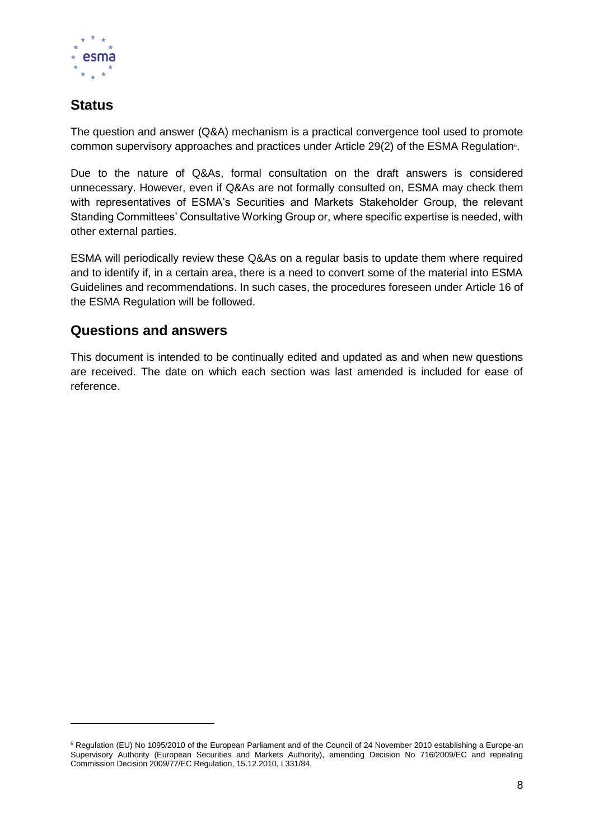

### **Status**

-

The question and answer (Q&A) mechanism is a practical convergence tool used to promote common supervisory approaches and practices under Article 29(2) of the ESMA Regulation<sup>6</sup>.

Due to the nature of Q&As, formal consultation on the draft answers is considered unnecessary. However, even if Q&As are not formally consulted on, ESMA may check them with representatives of ESMA's Securities and Markets Stakeholder Group, the relevant Standing Committees' Consultative Working Group or, where specific expertise is needed, with other external parties.

ESMA will periodically review these Q&As on a regular basis to update them where required and to identify if, in a certain area, there is a need to convert some of the material into ESMA Guidelines and recommendations. In such cases, the procedures foreseen under Article 16 of the ESMA Regulation will be followed.

### **Questions and answers**

This document is intended to be continually edited and updated as and when new questions are received. The date on which each section was last amended is included for ease of reference.

<sup>&</sup>lt;sup>6</sup> Regulation (EU) No 1095/2010 of the European Parliament and of the Council of 24 November 2010 establishing a Europe-an Supervisory Authority (European Securities and Markets Authority), amending Decision No 716/2009/EC and repealing Commission Decision 2009/77/EC Regulation, 15.12.2010, L331/84.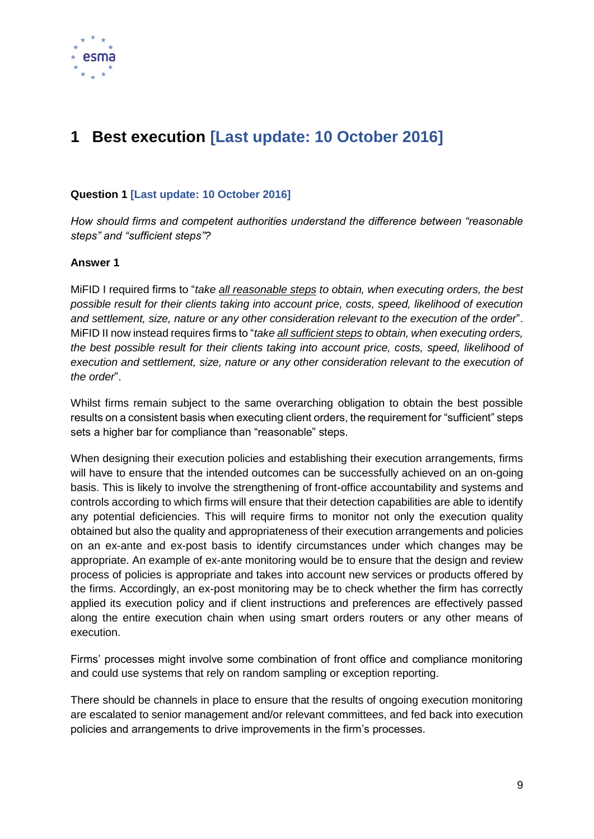

## <span id="page-8-0"></span>**1 Best execution [Last update: 10 October 2016]**

#### **Question 1 [Last update: 10 October 2016]**

*How should firms and competent authorities understand the difference between "reasonable steps" and "sufficient steps"?*

#### **Answer 1**

MiFID I required firms to "*take all reasonable steps to obtain, when executing orders, the best possible result for their clients taking into account price, costs, speed, likelihood of execution and settlement, size, nature or any other consideration relevant to the execution of the order*". MiFID II now instead requires firms to "*take all sufficient steps to obtain, when executing orders, the best possible result for their clients taking into account price, costs, speed, likelihood of execution and settlement, size, nature or any other consideration relevant to the execution of the order*".

Whilst firms remain subject to the same overarching obligation to obtain the best possible results on a consistent basis when executing client orders, the requirement for "sufficient" steps sets a higher bar for compliance than "reasonable" steps.

When designing their execution policies and establishing their execution arrangements, firms will have to ensure that the intended outcomes can be successfully achieved on an on-going basis. This is likely to involve the strengthening of front-office accountability and systems and controls according to which firms will ensure that their detection capabilities are able to identify any potential deficiencies. This will require firms to monitor not only the execution quality obtained but also the quality and appropriateness of their execution arrangements and policies on an ex-ante and ex-post basis to identify circumstances under which changes may be appropriate. An example of ex-ante monitoring would be to ensure that the design and review process of policies is appropriate and takes into account new services or products offered by the firms. Accordingly, an ex-post monitoring may be to check whether the firm has correctly applied its execution policy and if client instructions and preferences are effectively passed along the entire execution chain when using smart orders routers or any other means of execution.

Firms' processes might involve some combination of front office and compliance monitoring and could use systems that rely on random sampling or exception reporting.

There should be channels in place to ensure that the results of ongoing execution monitoring are escalated to senior management and/or relevant committees, and fed back into execution policies and arrangements to drive improvements in the firm's processes.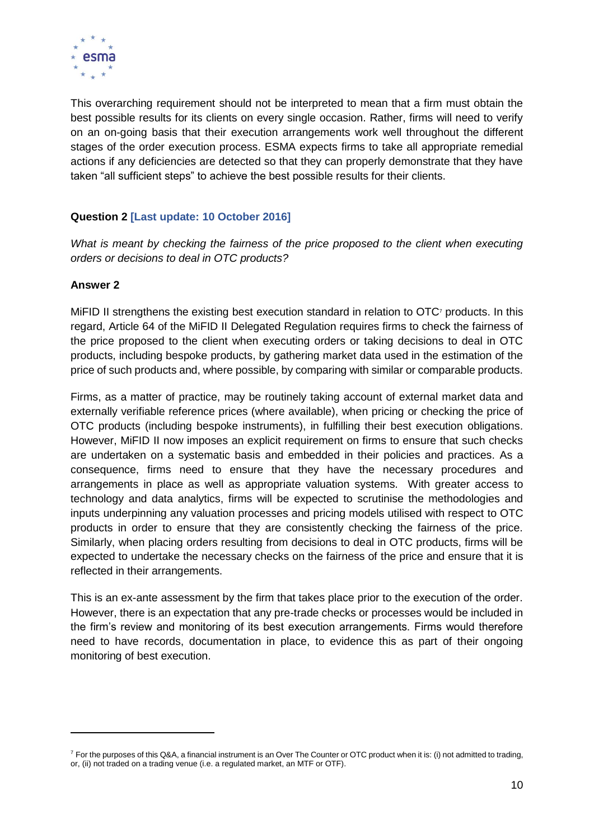

This overarching requirement should not be interpreted to mean that a firm must obtain the best possible results for its clients on every single occasion. Rather, firms will need to verify on an on-going basis that their execution arrangements work well throughout the different stages of the order execution process. ESMA expects firms to take all appropriate remedial actions if any deficiencies are detected so that they can properly demonstrate that they have taken "all sufficient steps" to achieve the best possible results for their clients.

#### **Question 2 [Last update: 10 October 2016]**

*What is meant by checking the fairness of the price proposed to the client when executing orders or decisions to deal in OTC products?*

#### **Answer 2**

 $\overline{a}$ 

MiFID II strengthens the existing best execution standard in relation to OTC<sup>7</sup> products. In this regard, Article 64 of the MiFID II Delegated Regulation requires firms to check the fairness of the price proposed to the client when executing orders or taking decisions to deal in OTC products, including bespoke products, by gathering market data used in the estimation of the price of such products and, where possible, by comparing with similar or comparable products.

Firms, as a matter of practice, may be routinely taking account of external market data and externally verifiable reference prices (where available), when pricing or checking the price of OTC products (including bespoke instruments), in fulfilling their best execution obligations. However, MiFID II now imposes an explicit requirement on firms to ensure that such checks are undertaken on a systematic basis and embedded in their policies and practices. As a consequence, firms need to ensure that they have the necessary procedures and arrangements in place as well as appropriate valuation systems. With greater access to technology and data analytics, firms will be expected to scrutinise the methodologies and inputs underpinning any valuation processes and pricing models utilised with respect to OTC products in order to ensure that they are consistently checking the fairness of the price. Similarly, when placing orders resulting from decisions to deal in OTC products, firms will be expected to undertake the necessary checks on the fairness of the price and ensure that it is reflected in their arrangements.

This is an ex-ante assessment by the firm that takes place prior to the execution of the order. However, there is an expectation that any pre-trade checks or processes would be included in the firm's review and monitoring of its best execution arrangements. Firms would therefore need to have records, documentation in place, to evidence this as part of their ongoing monitoring of best execution.

 $^7$  For the purposes of this Q&A, a financial instrument is an Over The Counter or OTC product when it is: (i) not admitted to trading, or, (ii) not traded on a trading venue (i.e. a regulated market, an MTF or OTF).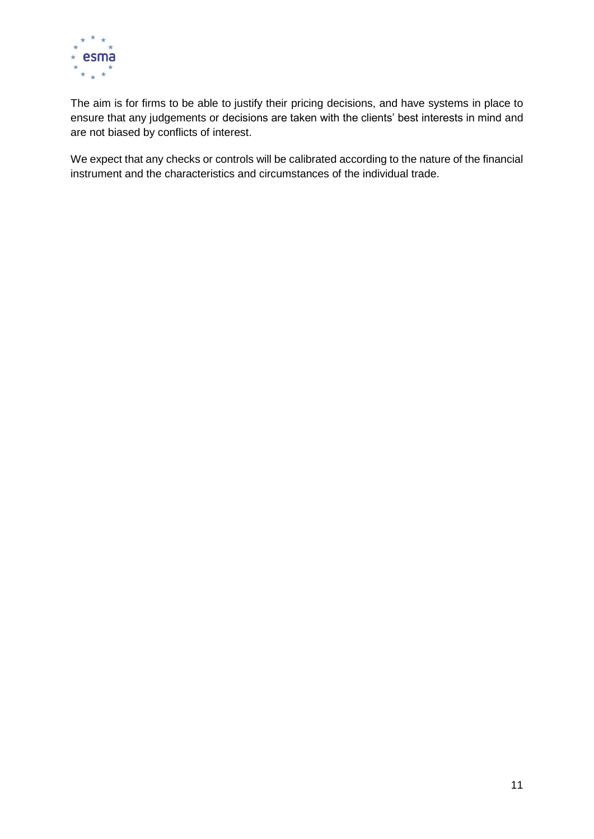

The aim is for firms to be able to justify their pricing decisions, and have systems in place to ensure that any judgements or decisions are taken with the clients' best interests in mind and are not biased by conflicts of interest.

We expect that any checks or controls will be calibrated according to the nature of the financial instrument and the characteristics and circumstances of the individual trade.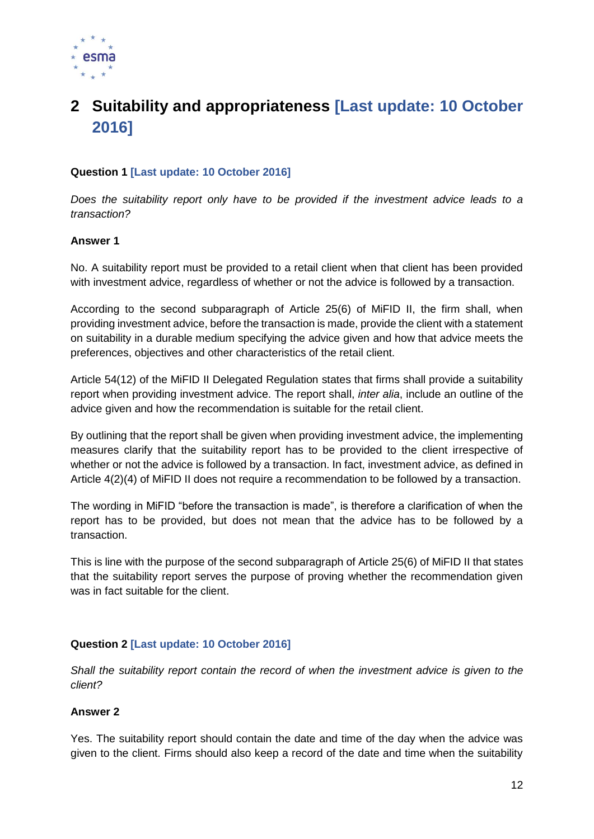

## <span id="page-11-0"></span>**2 Suitability and appropriateness [Last update: 10 October 2016]**

#### **Question 1 [Last update: 10 October 2016]**

*Does the suitability report only have to be provided if the investment advice leads to a transaction?*

#### **Answer 1**

No. A suitability report must be provided to a retail client when that client has been provided with investment advice, regardless of whether or not the advice is followed by a transaction.

According to the second subparagraph of Article 25(6) of MiFID II, the firm shall, when providing investment advice, before the transaction is made, provide the client with a statement on suitability in a durable medium specifying the advice given and how that advice meets the preferences, objectives and other characteristics of the retail client.

Article 54(12) of the MiFID II Delegated Regulation states that firms shall provide a suitability report when providing investment advice. The report shall, *inter alia*, include an outline of the advice given and how the recommendation is suitable for the retail client.

By outlining that the report shall be given when providing investment advice, the implementing measures clarify that the suitability report has to be provided to the client irrespective of whether or not the advice is followed by a transaction. In fact, investment advice, as defined in Article 4(2)(4) of MiFID II does not require a recommendation to be followed by a transaction.

The wording in MiFID "before the transaction is made", is therefore a clarification of when the report has to be provided, but does not mean that the advice has to be followed by a transaction.

This is line with the purpose of the second subparagraph of Article 25(6) of MiFID II that states that the suitability report serves the purpose of proving whether the recommendation given was in fact suitable for the client.

#### **Question 2 [Last update: 10 October 2016]**

*Shall the suitability report contain the record of when the investment advice is given to the client?*

#### **Answer 2**

Yes. The suitability report should contain the date and time of the day when the advice was given to the client. Firms should also keep a record of the date and time when the suitability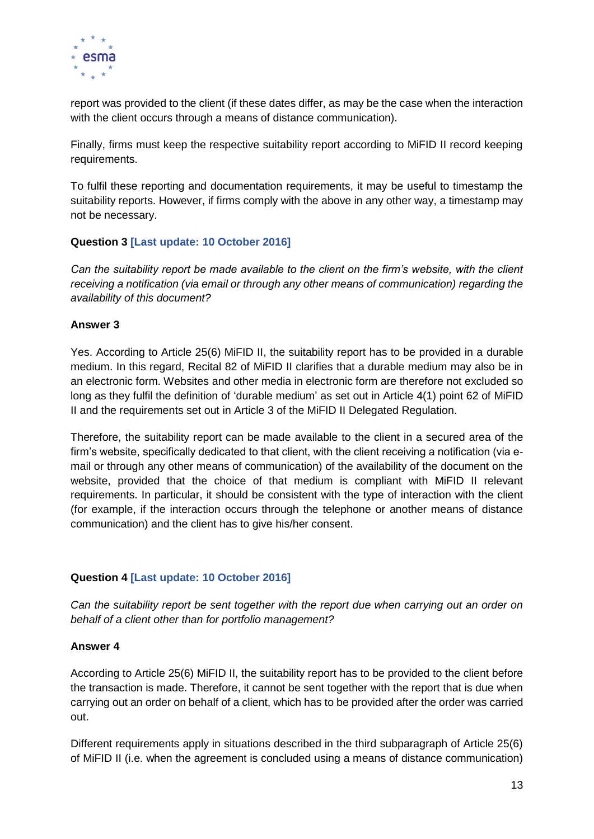

report was provided to the client (if these dates differ, as may be the case when the interaction with the client occurs through a means of distance communication).

Finally, firms must keep the respective suitability report according to MiFID II record keeping requirements.

To fulfil these reporting and documentation requirements, it may be useful to timestamp the suitability reports. However, if firms comply with the above in any other way, a timestamp may not be necessary.

#### **Question 3 [Last update: 10 October 2016]**

*Can the suitability report be made available to the client on the firm's website, with the client receiving a notification (via email or through any other means of communication) regarding the availability of this document?* 

#### **Answer 3**

Yes. According to Article 25(6) MiFID II, the suitability report has to be provided in a durable medium. In this regard, Recital 82 of MiFID II clarifies that a durable medium may also be in an electronic form. Websites and other media in electronic form are therefore not excluded so long as they fulfil the definition of 'durable medium' as set out in Article 4(1) point 62 of MiFID II and the requirements set out in Article 3 of the MiFID II Delegated Regulation.

Therefore, the suitability report can be made available to the client in a secured area of the firm's website, specifically dedicated to that client, with the client receiving a notification (via email or through any other means of communication) of the availability of the document on the website, provided that the choice of that medium is compliant with MiFID II relevant requirements. In particular, it should be consistent with the type of interaction with the client (for example, if the interaction occurs through the telephone or another means of distance communication) and the client has to give his/her consent.

#### **Question 4 [Last update: 10 October 2016]**

*Can the suitability report be sent together with the report due when carrying out an order on behalf of a client other than for portfolio management?*

#### **Answer 4**

According to Article 25(6) MiFID II, the suitability report has to be provided to the client before the transaction is made. Therefore, it cannot be sent together with the report that is due when carrying out an order on behalf of a client, which has to be provided after the order was carried out.

Different requirements apply in situations described in the third subparagraph of Article 25(6) of MiFID II (i.e. when the agreement is concluded using a means of distance communication)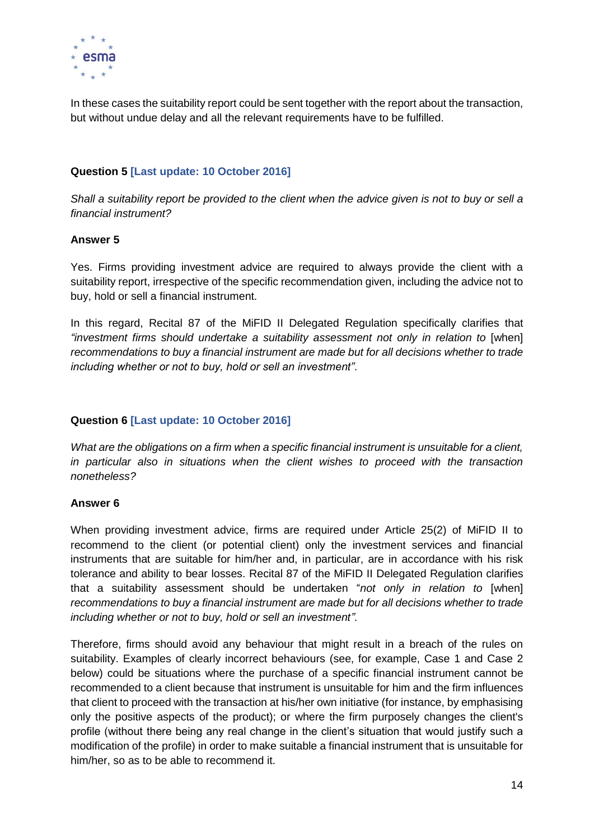

In these cases the suitability report could be sent together with the report about the transaction, but without undue delay and all the relevant requirements have to be fulfilled.

#### **Question 5 [Last update: 10 October 2016]**

*Shall a suitability report be provided to the client when the advice given is not to buy or sell a financial instrument?*

#### **Answer 5**

Yes. Firms providing investment advice are required to always provide the client with a suitability report, irrespective of the specific recommendation given, including the advice not to buy, hold or sell a financial instrument.

In this regard, Recital 87 of the MiFID II Delegated Regulation specifically clarifies that *"investment firms should undertake a suitability assessment not only in relation to* [when] *recommendations to buy a financial instrument are made but for all decisions whether to trade including whether or not to buy, hold or sell an investment"*.

#### **Question 6 [Last update: 10 October 2016]**

*What are the obligations on a firm when a specific financial instrument is unsuitable for a client, in particular also in situations when the client wishes to proceed with the transaction nonetheless?*

#### **Answer 6**

When providing investment advice, firms are required under Article 25(2) of MiFID II to recommend to the client (or potential client) only the investment services and financial instruments that are suitable for him/her and, in particular, are in accordance with his risk tolerance and ability to bear losses. Recital 87 of the MiFID II Delegated Regulation clarifies that a suitability assessment should be undertaken "*not only in relation to* [when] *recommendations to buy a financial instrument are made but for all decisions whether to trade including whether or not to buy, hold or sell an investment"*.

Therefore, firms should avoid any behaviour that might result in a breach of the rules on suitability. Examples of clearly incorrect behaviours (see, for example, Case 1 and Case 2 below) could be situations where the purchase of a specific financial instrument cannot be recommended to a client because that instrument is unsuitable for him and the firm influences that client to proceed with the transaction at his/her own initiative (for instance, by emphasising only the positive aspects of the product); or where the firm purposely changes the client's profile (without there being any real change in the client's situation that would justify such a modification of the profile) in order to make suitable a financial instrument that is unsuitable for him/her, so as to be able to recommend it.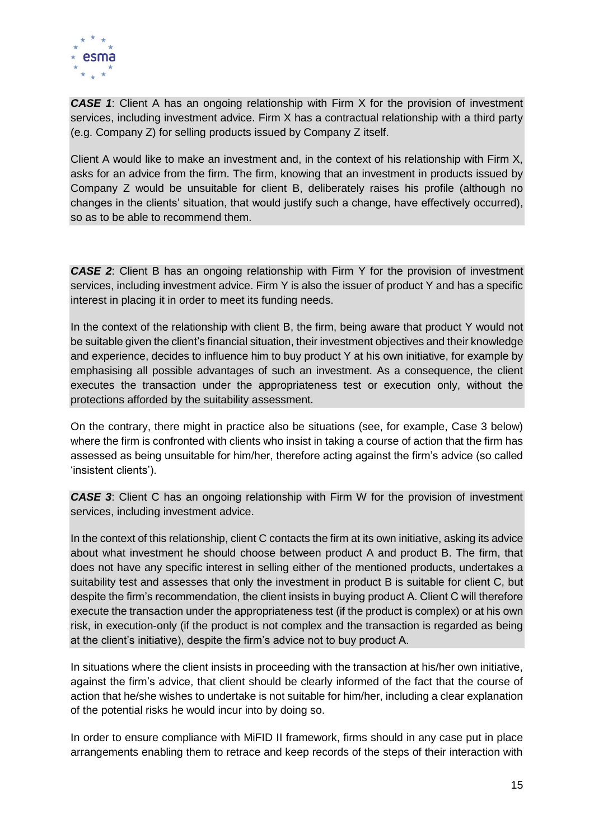

**CASE 1:** Client A has an ongoing relationship with Firm X for the provision of investment services, including investment advice. Firm X has a contractual relationship with a third party (e.g. Company Z) for selling products issued by Company Z itself.

Client A would like to make an investment and, in the context of his relationship with Firm X, asks for an advice from the firm. The firm, knowing that an investment in products issued by Company Z would be unsuitable for client B, deliberately raises his profile (although no changes in the clients' situation, that would justify such a change, have effectively occurred), so as to be able to recommend them.

**CASE 2:** Client B has an ongoing relationship with Firm Y for the provision of investment services, including investment advice. Firm Y is also the issuer of product Y and has a specific interest in placing it in order to meet its funding needs.

In the context of the relationship with client B, the firm, being aware that product Y would not be suitable given the client's financial situation, their investment objectives and their knowledge and experience, decides to influence him to buy product Y at his own initiative, for example by emphasising all possible advantages of such an investment. As a consequence, the client executes the transaction under the appropriateness test or execution only, without the protections afforded by the suitability assessment.

On the contrary, there might in practice also be situations (see, for example, Case 3 below) where the firm is confronted with clients who insist in taking a course of action that the firm has assessed as being unsuitable for him/her, therefore acting against the firm's advice (so called 'insistent clients').

*CASE 3*: Client C has an ongoing relationship with Firm W for the provision of investment services, including investment advice.

In the context of this relationship, client C contacts the firm at its own initiative, asking its advice about what investment he should choose between product A and product B. The firm, that does not have any specific interest in selling either of the mentioned products, undertakes a suitability test and assesses that only the investment in product B is suitable for client C, but despite the firm's recommendation, the client insists in buying product A. Client C will therefore execute the transaction under the appropriateness test (if the product is complex) or at his own risk, in execution-only (if the product is not complex and the transaction is regarded as being at the client's initiative), despite the firm's advice not to buy product A.

In situations where the client insists in proceeding with the transaction at his/her own initiative, against the firm's advice, that client should be clearly informed of the fact that the course of action that he/she wishes to undertake is not suitable for him/her, including a clear explanation of the potential risks he would incur into by doing so.

In order to ensure compliance with MiFID II framework, firms should in any case put in place arrangements enabling them to retrace and keep records of the steps of their interaction with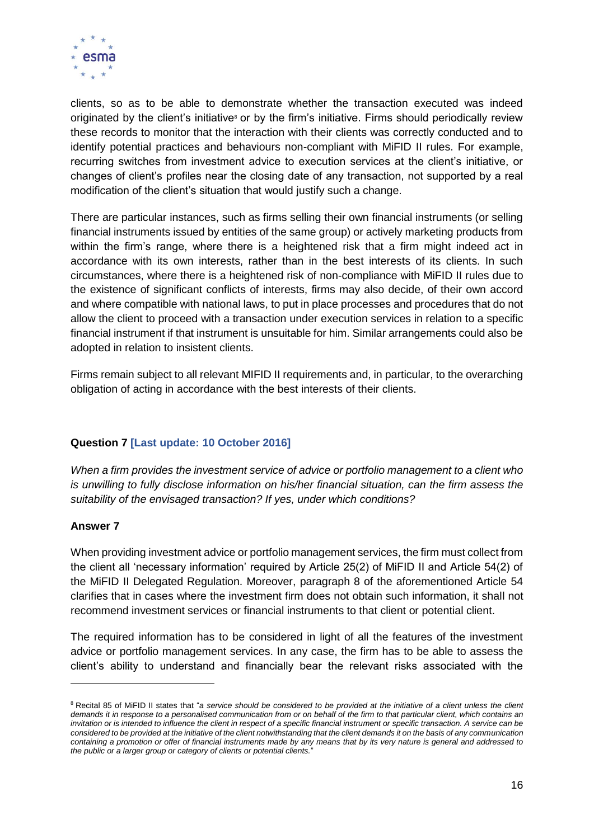

clients, so as to be able to demonstrate whether the transaction executed was indeed originated by the client's initiative<sup>8</sup> or by the firm's initiative. Firms should periodically review these records to monitor that the interaction with their clients was correctly conducted and to identify potential practices and behaviours non-compliant with MiFID II rules. For example, recurring switches from investment advice to execution services at the client's initiative, or changes of client's profiles near the closing date of any transaction, not supported by a real modification of the client's situation that would justify such a change.

There are particular instances, such as firms selling their own financial instruments (or selling financial instruments issued by entities of the same group) or actively marketing products from within the firm's range, where there is a heightened risk that a firm might indeed act in accordance with its own interests, rather than in the best interests of its clients. In such circumstances, where there is a heightened risk of non-compliance with MiFID II rules due to the existence of significant conflicts of interests, firms may also decide, of their own accord and where compatible with national laws, to put in place processes and procedures that do not allow the client to proceed with a transaction under execution services in relation to a specific financial instrument if that instrument is unsuitable for him. Similar arrangements could also be adopted in relation to insistent clients.

Firms remain subject to all relevant MIFID II requirements and, in particular, to the overarching obligation of acting in accordance with the best interests of their clients.

### **Question 7 [Last update: 10 October 2016]**

*When a firm provides the investment service of advice or portfolio management to a client who is unwilling to fully disclose information on his/her financial situation, can the firm assess the suitability of the envisaged transaction? If yes, under which conditions?*

#### **Answer 7**

1

When providing investment advice or portfolio management services, the firm must collect from the client all 'necessary information' required by Article 25(2) of MiFID II and Article 54(2) of the MiFID II Delegated Regulation. Moreover, paragraph 8 of the aforementioned Article 54 clarifies that in cases where the investment firm does not obtain such information, it shall not recommend investment services or financial instruments to that client or potential client.

The required information has to be considered in light of all the features of the investment advice or portfolio management services. In any case, the firm has to be able to assess the client's ability to understand and financially bear the relevant risks associated with the

<sup>&</sup>lt;sup>8</sup> Recital 85 of MiFID II states that "*a service should be considered to be provided at the initiative of a client unless the client demands it in response to a personalised communication from or on behalf of the firm to that particular client, which contains an invitation or is intended to influence the client in respect of a specific financial instrument or specific transaction. A service can be considered to be provided at the initiative of the client notwithstanding that the client demands it on the basis of any communication containing a promotion or offer of financial instruments made by any means that by its very nature is general and addressed to the public or a larger group or category of clients or potential clients.*"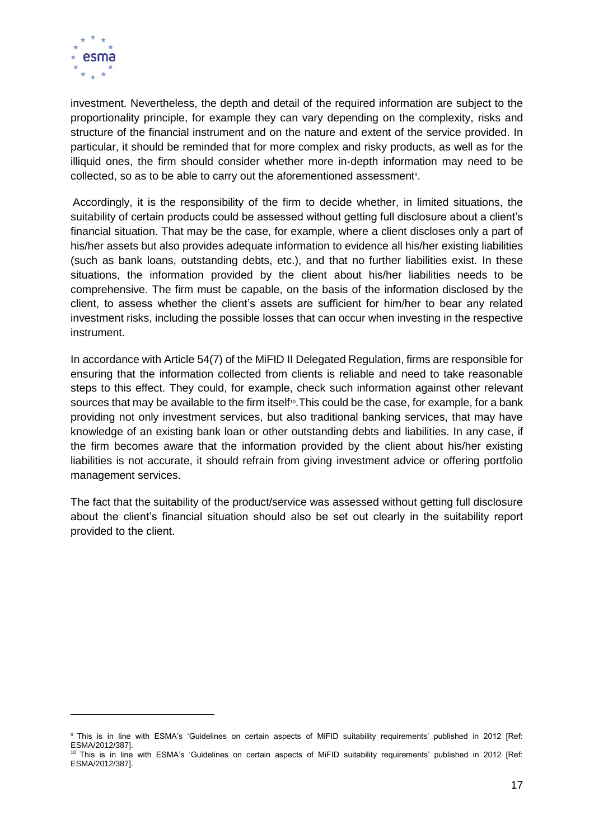

1

investment. Nevertheless, the depth and detail of the required information are subject to the proportionality principle, for example they can vary depending on the complexity, risks and structure of the financial instrument and on the nature and extent of the service provided. In particular, it should be reminded that for more complex and risky products, as well as for the illiquid ones, the firm should consider whether more in-depth information may need to be collected, so as to be able to carry out the aforementioned assessment<sup>9</sup>.

Accordingly, it is the responsibility of the firm to decide whether, in limited situations, the suitability of certain products could be assessed without getting full disclosure about a client's financial situation. That may be the case, for example, where a client discloses only a part of his/her assets but also provides adequate information to evidence all his/her existing liabilities (such as bank loans, outstanding debts, etc.), and that no further liabilities exist. In these situations, the information provided by the client about his/her liabilities needs to be comprehensive. The firm must be capable, on the basis of the information disclosed by the client, to assess whether the client's assets are sufficient for him/her to bear any related investment risks, including the possible losses that can occur when investing in the respective instrument.

In accordance with Article 54(7) of the MiFID II Delegated Regulation, firms are responsible for ensuring that the information collected from clients is reliable and need to take reasonable steps to this effect. They could, for example, check such information against other relevant sources that may be available to the firm itself<sup>10</sup>. This could be the case, for example, for a bank providing not only investment services, but also traditional banking services, that may have knowledge of an existing bank loan or other outstanding debts and liabilities. In any case, if the firm becomes aware that the information provided by the client about his/her existing liabilities is not accurate, it should refrain from giving investment advice or offering portfolio management services.

The fact that the suitability of the product/service was assessed without getting full disclosure about the client's financial situation should also be set out clearly in the suitability report provided to the client.

<sup>&</sup>lt;sup>9</sup> This is in line with ESMA's 'Guidelines on certain aspects of MiFID suitability requirements' published in 2012 [Ref: ESMA/2012/387].

<sup>&</sup>lt;sup>10</sup> This is in line with ESMA's 'Guidelines on certain aspects of MiFID suitability requirements' published in 2012 [Ref: ESMA/2012/387].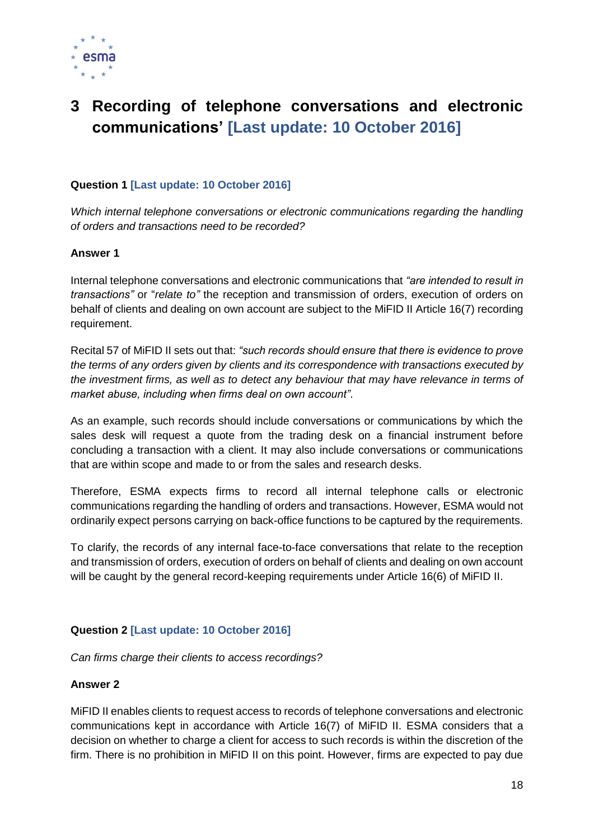

### <span id="page-17-0"></span>**3 Recording of telephone conversations and electronic communications' [Last update: 10 October 2016]**

#### **Question 1 [Last update: 10 October 2016]**

*Which internal telephone conversations or electronic communications regarding the handling of orders and transactions need to be recorded?*

#### **Answer 1**

Internal telephone conversations and electronic communications that *"are intended to result in transactions"* or "*relate to"* the reception and transmission of orders, execution of orders on behalf of clients and dealing on own account are subject to the MiFID II Article 16(7) recording requirement.

Recital 57 of MiFID II sets out that: *"such records should ensure that there is evidence to prove the terms of any orders given by clients and its correspondence with transactions executed by the investment firms, as well as to detect any behaviour that may have relevance in terms of market abuse, including when firms deal on own account"*.

As an example, such records should include conversations or communications by which the sales desk will request a quote from the trading desk on a financial instrument before concluding a transaction with a client. It may also include conversations or communications that are within scope and made to or from the sales and research desks.

Therefore, ESMA expects firms to record all internal telephone calls or electronic communications regarding the handling of orders and transactions. However, ESMA would not ordinarily expect persons carrying on back-office functions to be captured by the requirements.

To clarify, the records of any internal face-to-face conversations that relate to the reception and transmission of orders, execution of orders on behalf of clients and dealing on own account will be caught by the general record-keeping requirements under Article 16(6) of MiFID II.

#### **Question 2 [Last update: 10 October 2016]**

*Can firms charge their clients to access recordings?* 

#### **Answer 2**

MiFID II enables clients to request access to records of telephone conversations and electronic communications kept in accordance with Article 16(7) of MiFID II. ESMA considers that a decision on whether to charge a client for access to such records is within the discretion of the firm. There is no prohibition in MiFID II on this point. However, firms are expected to pay due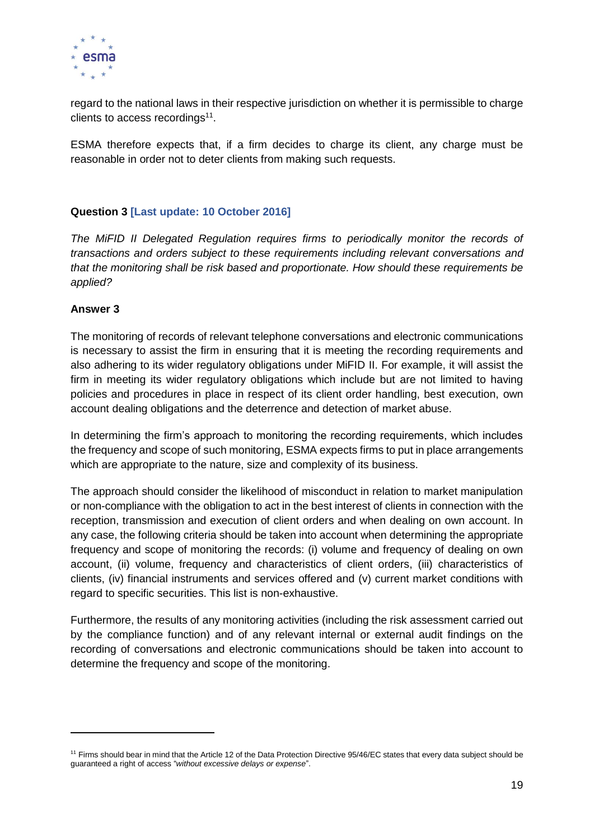

regard to the national laws in their respective jurisdiction on whether it is permissible to charge clients to access recordings<sup>11</sup>.

ESMA therefore expects that, if a firm decides to charge its client, any charge must be reasonable in order not to deter clients from making such requests.

#### **Question 3 [Last update: 10 October 2016]**

*The MiFID II Delegated Regulation requires firms to periodically monitor the records of transactions and orders subject to these requirements including relevant conversations and that the monitoring shall be risk based and proportionate. How should these requirements be applied?*

#### **Answer 3**

 $\overline{a}$ 

The monitoring of records of relevant telephone conversations and electronic communications is necessary to assist the firm in ensuring that it is meeting the recording requirements and also adhering to its wider regulatory obligations under MiFID II. For example, it will assist the firm in meeting its wider regulatory obligations which include but are not limited to having policies and procedures in place in respect of its client order handling, best execution, own account dealing obligations and the deterrence and detection of market abuse.

In determining the firm's approach to monitoring the recording requirements, which includes the frequency and scope of such monitoring, ESMA expects firms to put in place arrangements which are appropriate to the nature, size and complexity of its business.

The approach should consider the likelihood of misconduct in relation to market manipulation or non-compliance with the obligation to act in the best interest of clients in connection with the reception, transmission and execution of client orders and when dealing on own account. In any case, the following criteria should be taken into account when determining the appropriate frequency and scope of monitoring the records: (i) volume and frequency of dealing on own account, (ii) volume, frequency and characteristics of client orders, (iii) characteristics of clients, (iv) financial instruments and services offered and (v) current market conditions with regard to specific securities. This list is non-exhaustive.

Furthermore, the results of any monitoring activities (including the risk assessment carried out by the compliance function) and of any relevant internal or external audit findings on the recording of conversations and electronic communications should be taken into account to determine the frequency and scope of the monitoring.

<sup>&</sup>lt;sup>11</sup> Firms should bear in mind that the Article 12 of the Data Protection Directive 95/46/EC states that every data subject should be guaranteed a right of access "*without excessive delays or expense*".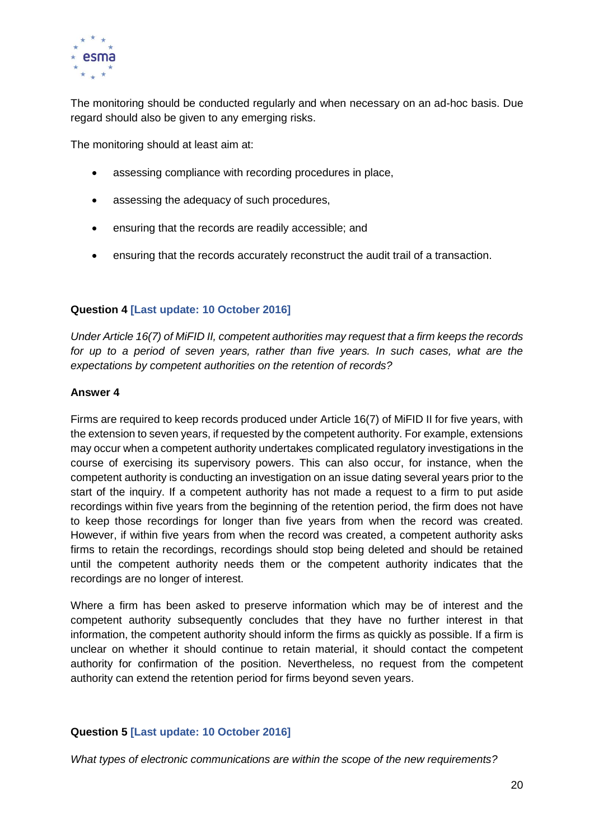

The monitoring should be conducted regularly and when necessary on an ad-hoc basis. Due regard should also be given to any emerging risks.

The monitoring should at least aim at:

- assessing compliance with recording procedures in place,
- assessing the adequacy of such procedures,
- ensuring that the records are readily accessible; and
- ensuring that the records accurately reconstruct the audit trail of a transaction.

#### **Question 4 [Last update: 10 October 2016]**

*Under Article 16(7) of MiFID II, competent authorities may request that a firm keeps the records*  for up to a period of seven years, rather than five years. In such cases, what are the *expectations by competent authorities on the retention of records?*

#### **Answer 4**

Firms are required to keep records produced under Article 16(7) of MiFID II for five years, with the extension to seven years, if requested by the competent authority. For example, extensions may occur when a competent authority undertakes complicated regulatory investigations in the course of exercising its supervisory powers. This can also occur, for instance, when the competent authority is conducting an investigation on an issue dating several years prior to the start of the inquiry. If a competent authority has not made a request to a firm to put aside recordings within five years from the beginning of the retention period, the firm does not have to keep those recordings for longer than five years from when the record was created. However, if within five years from when the record was created, a competent authority asks firms to retain the recordings, recordings should stop being deleted and should be retained until the competent authority needs them or the competent authority indicates that the recordings are no longer of interest.

Where a firm has been asked to preserve information which may be of interest and the competent authority subsequently concludes that they have no further interest in that information, the competent authority should inform the firms as quickly as possible. If a firm is unclear on whether it should continue to retain material, it should contact the competent authority for confirmation of the position. Nevertheless, no request from the competent authority can extend the retention period for firms beyond seven years.

#### **Question 5 [Last update: 10 October 2016]**

*What types of electronic communications are within the scope of the new requirements?*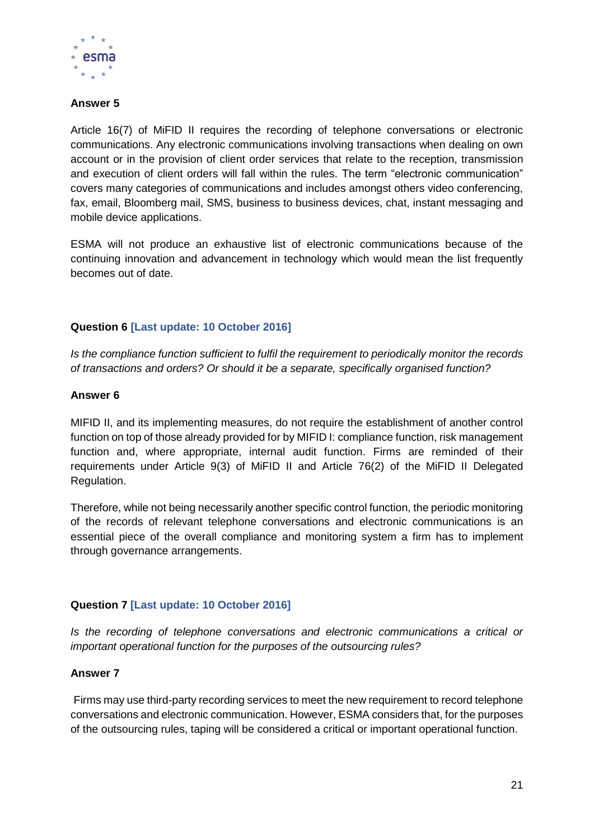

#### **Answer 5**

Article 16(7) of MiFID II requires the recording of telephone conversations or electronic communications. Any electronic communications involving transactions when dealing on own account or in the provision of client order services that relate to the reception, transmission and execution of client orders will fall within the rules. The term "electronic communication" covers many categories of communications and includes amongst others video conferencing, fax, email, Bloomberg mail, SMS, business to business devices, chat, instant messaging and mobile device applications.

ESMA will not produce an exhaustive list of electronic communications because of the continuing innovation and advancement in technology which would mean the list frequently becomes out of date.

#### **Question 6 [Last update: 10 October 2016]**

*Is the compliance function sufficient to fulfil the requirement to periodically monitor the records of transactions and orders? Or should it be a separate, specifically organised function?*

#### **Answer 6**

MIFID II, and its implementing measures, do not require the establishment of another control function on top of those already provided for by MIFID I: compliance function, risk management function and, where appropriate, internal audit function. Firms are reminded of their requirements under Article 9(3) of MiFID II and Article 76(2) of the MiFID II Delegated Regulation.

Therefore, while not being necessarily another specific control function, the periodic monitoring of the records of relevant telephone conversations and electronic communications is an essential piece of the overall compliance and monitoring system a firm has to implement through governance arrangements.

#### **Question 7 [Last update: 10 October 2016]**

*Is the recording of telephone conversations and electronic communications a critical or important operational function for the purposes of the outsourcing rules?* 

#### **Answer 7**

Firms may use third-party recording services to meet the new requirement to record telephone conversations and electronic communication. However, ESMA considers that, for the purposes of the outsourcing rules, taping will be considered a critical or important operational function.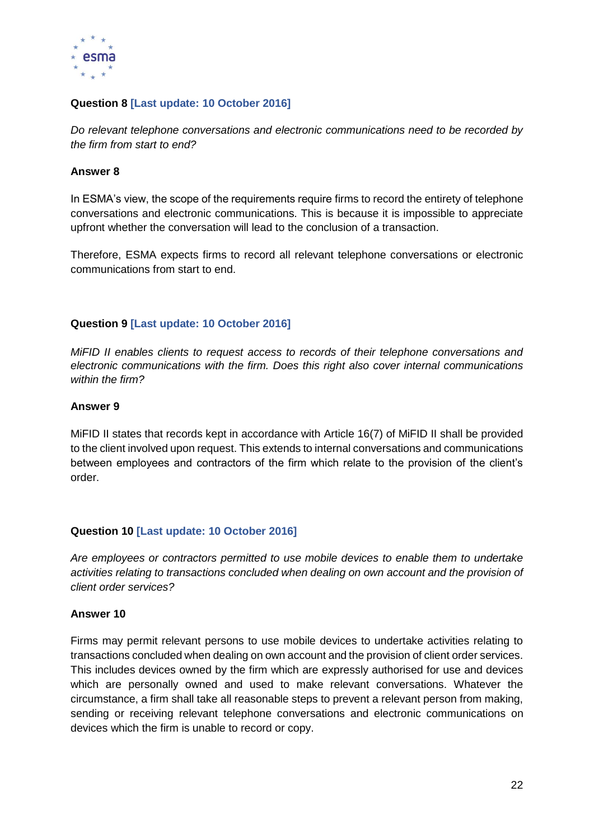

#### **Question 8 [Last update: 10 October 2016]**

*Do relevant telephone conversations and electronic communications need to be recorded by the firm from start to end?*

#### **Answer 8**

In ESMA's view, the scope of the requirements require firms to record the entirety of telephone conversations and electronic communications. This is because it is impossible to appreciate upfront whether the conversation will lead to the conclusion of a transaction.

Therefore, ESMA expects firms to record all relevant telephone conversations or electronic communications from start to end.

#### **Question 9 [Last update: 10 October 2016]**

*MiFID II enables clients to request access to records of their telephone conversations and electronic communications with the firm. Does this right also cover internal communications within the firm?*

#### **Answer 9**

MiFID II states that records kept in accordance with Article 16(7) of MiFID II shall be provided to the client involved upon request. This extends to internal conversations and communications between employees and contractors of the firm which relate to the provision of the client's order.

#### **Question 10 [Last update: 10 October 2016]**

*Are employees or contractors permitted to use mobile devices to enable them to undertake activities relating to transactions concluded when dealing on own account and the provision of client order services?* 

#### **Answer 10**

Firms may permit relevant persons to use mobile devices to undertake activities relating to transactions concluded when dealing on own account and the provision of client order services. This includes devices owned by the firm which are expressly authorised for use and devices which are personally owned and used to make relevant conversations. Whatever the circumstance, a firm shall take all reasonable steps to prevent a relevant person from making, sending or receiving relevant telephone conversations and electronic communications on devices which the firm is unable to record or copy.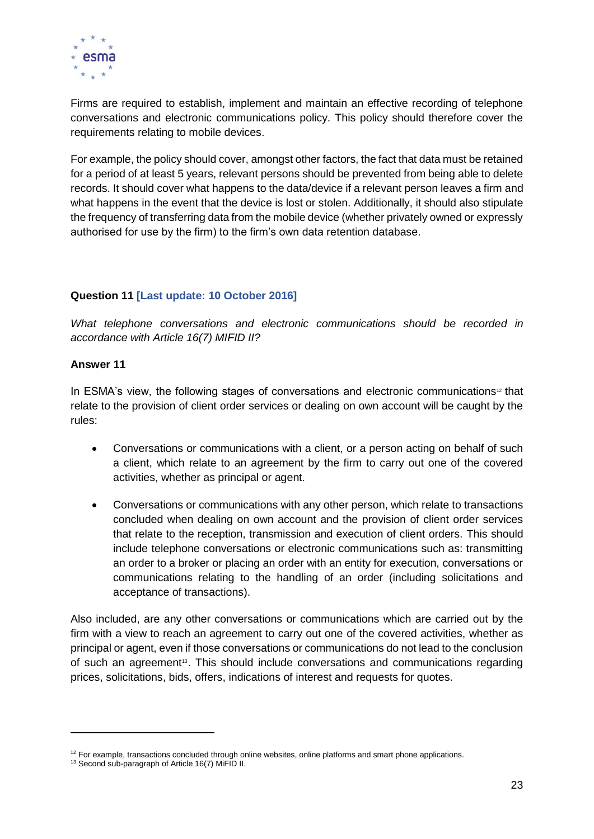

Firms are required to establish, implement and maintain an effective recording of telephone conversations and electronic communications policy. This policy should therefore cover the requirements relating to mobile devices.

For example, the policy should cover, amongst other factors, the fact that data must be retained for a period of at least 5 years, relevant persons should be prevented from being able to delete records. It should cover what happens to the data/device if a relevant person leaves a firm and what happens in the event that the device is lost or stolen. Additionally, it should also stipulate the frequency of transferring data from the mobile device (whether privately owned or expressly authorised for use by the firm) to the firm's own data retention database.

#### **Question 11 [Last update: 10 October 2016]**

*What telephone conversations and electronic communications should be recorded in accordance with Article 16(7) MIFID II?*

#### **Answer 11**

In ESMA's view, the following stages of conversations and electronic communications<sup>12</sup> that relate to the provision of client order services or dealing on own account will be caught by the rules:

- Conversations or communications with a client, or a person acting on behalf of such a client, which relate to an agreement by the firm to carry out one of the covered activities, whether as principal or agent.
- Conversations or communications with any other person, which relate to transactions concluded when dealing on own account and the provision of client order services that relate to the reception, transmission and execution of client orders. This should include telephone conversations or electronic communications such as: transmitting an order to a broker or placing an order with an entity for execution, conversations or communications relating to the handling of an order (including solicitations and acceptance of transactions).

Also included, are any other conversations or communications which are carried out by the firm with a view to reach an agreement to carry out one of the covered activities, whether as principal or agent, even if those conversations or communications do not lead to the conclusion of such an agreement<sup>13</sup>. This should include conversations and communications regarding prices, solicitations, bids, offers, indications of interest and requests for quotes.

 $\overline{a}$ 

 $12$  For example, transactions concluded through online websites, online platforms and smart phone applications.

<sup>&</sup>lt;sup>13</sup> Second sub-paragraph of Article 16(7) MiFID II.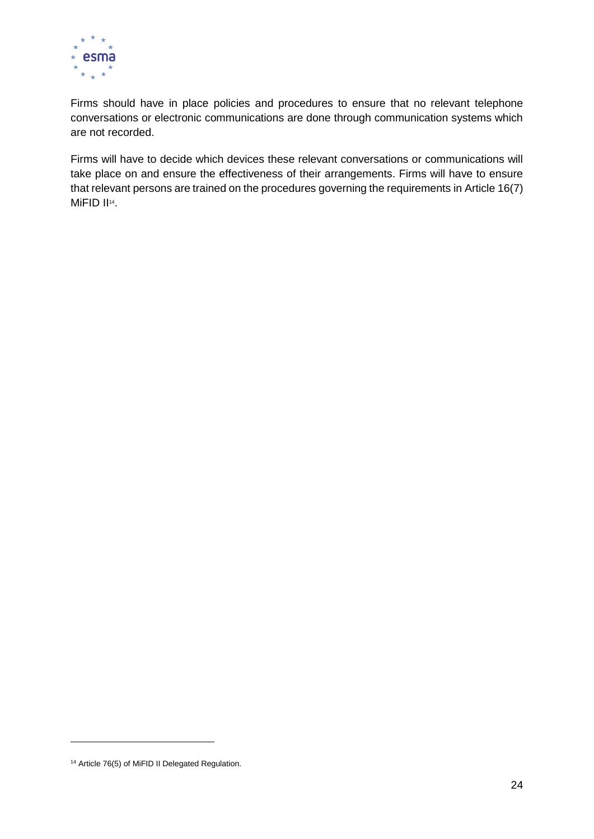

Firms should have in place policies and procedures to ensure that no relevant telephone conversations or electronic communications are done through communication systems which are not recorded.

Firms will have to decide which devices these relevant conversations or communications will take place on and ensure the effectiveness of their arrangements. Firms will have to ensure that relevant persons are trained on the procedures governing the requirements in Article 16(7) MiFID II<sup>14</sup>.

-

<sup>&</sup>lt;sup>14</sup> Article 76(5) of MiFID II Delegated Regulation.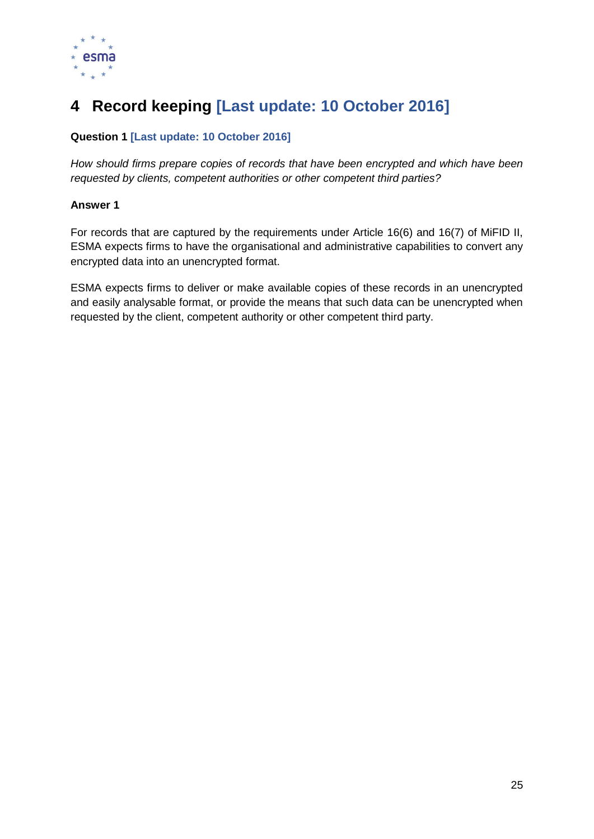

# <span id="page-24-0"></span>**4 Record keeping [Last update: 10 October 2016]**

### **Question 1 [Last update: 10 October 2016]**

*How should firms prepare copies of records that have been encrypted and which have been requested by clients, competent authorities or other competent third parties?*

#### **Answer 1**

For records that are captured by the requirements under Article 16(6) and 16(7) of MiFID II, ESMA expects firms to have the organisational and administrative capabilities to convert any encrypted data into an unencrypted format.

ESMA expects firms to deliver or make available copies of these records in an unencrypted and easily analysable format, or provide the means that such data can be unencrypted when requested by the client, competent authority or other competent third party.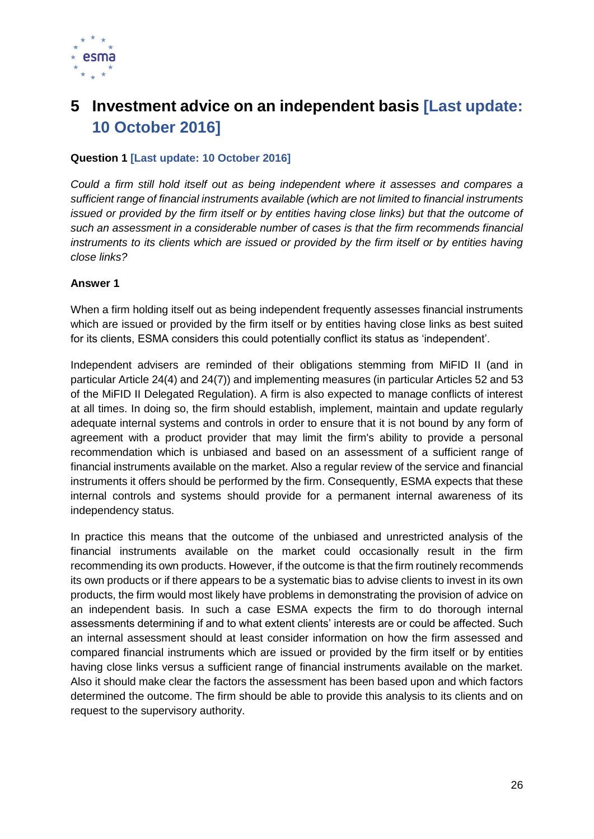

### <span id="page-25-0"></span>**5 Investment advice on an independent basis [Last update: 10 October 2016]**

#### **Question 1 [Last update: 10 October 2016]**

*Could a firm still hold itself out as being independent where it assesses and compares a sufficient range of financial instruments available (which are not limited to financial instruments issued or provided by the firm itself or by entities having close links) but that the outcome of such an assessment in a considerable number of cases is that the firm recommends financial instruments to its clients which are issued or provided by the firm itself or by entities having close links?* 

#### **Answer 1**

When a firm holding itself out as being independent frequently assesses financial instruments which are issued or provided by the firm itself or by entities having close links as best suited for its clients, ESMA considers this could potentially conflict its status as 'independent'.

Independent advisers are reminded of their obligations stemming from MiFID II (and in particular Article 24(4) and 24(7)) and implementing measures (in particular Articles 52 and 53 of the MiFID II Delegated Regulation). A firm is also expected to manage conflicts of interest at all times. In doing so, the firm should establish, implement, maintain and update regularly adequate internal systems and controls in order to ensure that it is not bound by any form of agreement with a product provider that may limit the firm's ability to provide a personal recommendation which is unbiased and based on an assessment of a sufficient range of financial instruments available on the market. Also a regular review of the service and financial instruments it offers should be performed by the firm. Consequently, ESMA expects that these internal controls and systems should provide for a permanent internal awareness of its independency status.

In practice this means that the outcome of the unbiased and unrestricted analysis of the financial instruments available on the market could occasionally result in the firm recommending its own products. However, if the outcome is that the firm routinely recommends its own products or if there appears to be a systematic bias to advise clients to invest in its own products, the firm would most likely have problems in demonstrating the provision of advice on an independent basis. In such a case ESMA expects the firm to do thorough internal assessments determining if and to what extent clients' interests are or could be affected. Such an internal assessment should at least consider information on how the firm assessed and compared financial instruments which are issued or provided by the firm itself or by entities having close links versus a sufficient range of financial instruments available on the market. Also it should make clear the factors the assessment has been based upon and which factors determined the outcome. The firm should be able to provide this analysis to its clients and on request to the supervisory authority.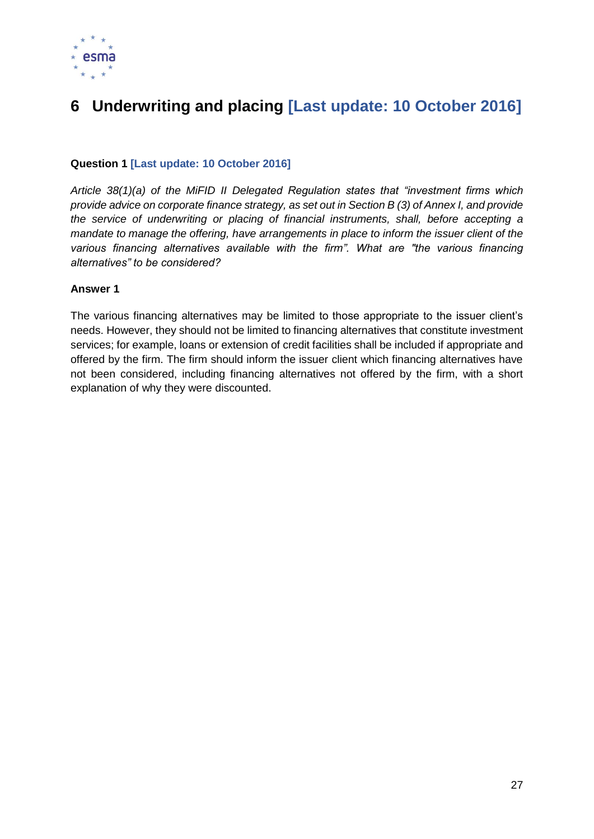

# <span id="page-26-0"></span>**6 Underwriting and placing [Last update: 10 October 2016]**

#### **Question 1 [Last update: 10 October 2016]**

*Article 38(1)(a) of the MiFID II Delegated Regulation states that "investment firms which provide advice on corporate finance strategy, as set out in Section B (3) of Annex I, and provide the service of underwriting or placing of financial instruments, shall, before accepting a mandate to manage the offering, have arrangements in place to inform the issuer client of the various financing alternatives available with the firm". What are "the various financing alternatives" to be considered?*

#### **Answer 1**

The various financing alternatives may be limited to those appropriate to the issuer client's needs. However, they should not be limited to financing alternatives that constitute investment services; for example, loans or extension of credit facilities shall be included if appropriate and offered by the firm. The firm should inform the issuer client which financing alternatives have not been considered, including financing alternatives not offered by the firm, with a short explanation of why they were discounted.